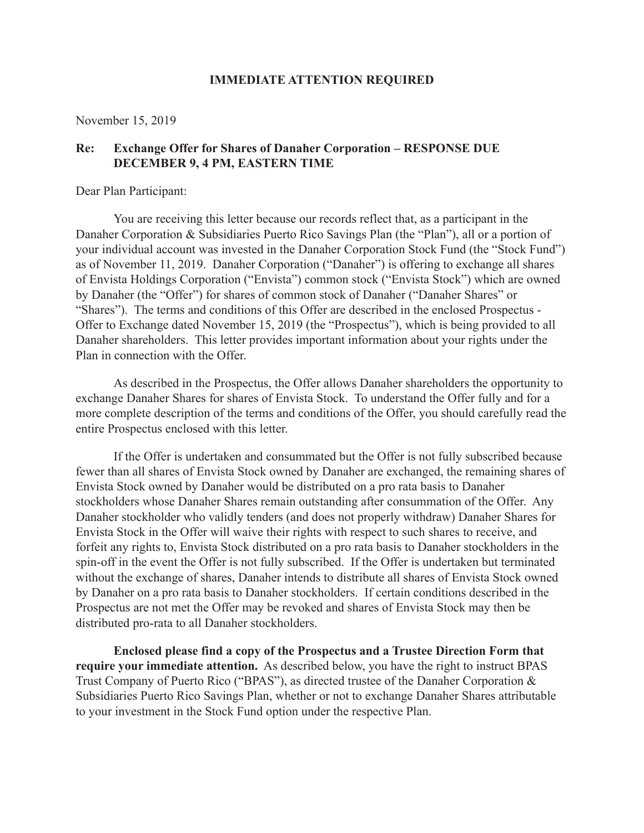### **IMMEDIATE ATTENTION REQUIRED**

November 15, 2019

## **Re: Exchange Offer for Shares of Danaher Corporation – RESPONSE DUE DECEMBER 9, 4 PM, EASTERN TIME**

Dear Plan Participant:

You are receiving this letter because our records reflect that, as a participant in the Danaher Corporation & Subsidiaries Puerto Rico Savings Plan (the "Plan"), all or a portion of your individual account was invested in the Danaher Corporation Stock Fund (the "Stock Fund") as of November 11, 2019. Danaher Corporation ("Danaher") is offering to exchange all shares of Envista Holdings Corporation ("Envista") common stock ("Envista Stock") which are owned by Danaher (the "Offer") for shares of common stock of Danaher ("Danaher Shares" or "Shares"). The terms and conditions of this Offer are described in the enclosed Prospectus - Offer to Exchange dated November 15, 2019 (the "Prospectus"), which is being provided to all Danaher shareholders. This letter provides important information about your rights under the Plan in connection with the Offer.

As described in the Prospectus, the Offer allows Danaher shareholders the opportunity to exchange Danaher Shares for shares of Envista Stock. To understand the Offer fully and for a more complete description of the terms and conditions of the Offer, you should carefully read the entire Prospectus enclosed with this letter.

If the Offer is undertaken and consummated but the Offer is not fully subscribed because fewer than all shares of Envista Stock owned by Danaher are exchanged, the remaining shares of Envista Stock owned by Danaher would be distributed on a pro rata basis to Danaher stockholders whose Danaher Shares remain outstanding after consummation of the Offer. Any Danaher stockholder who validly tenders (and does not properly withdraw) Danaher Shares for Envista Stock in the Offer will waive their rights with respect to such shares to receive, and forfeit any rights to, Envista Stock distributed on a pro rata basis to Danaher stockholders in the spin-off in the event the Offer is not fully subscribed. If the Offer is undertaken but terminated without the exchange of shares, Danaher intends to distribute all shares of Envista Stock owned by Danaher on a pro rata basis to Danaher stockholders. If certain conditions described in the Prospectus are not met the Offer may be revoked and shares of Envista Stock may then be distributed pro-rata to all Danaher stockholders.

**Enclosed please find a copy of the Prospectus and a Trustee Direction Form that require your immediate attention.** As described below, you have the right to instruct BPAS Trust Company of Puerto Rico ("BPAS"), as directed trustee of the Danaher Corporation & Subsidiaries Puerto Rico Savings Plan, whether or not to exchange Danaher Shares attributable to your investment in the Stock Fund option under the respective Plan.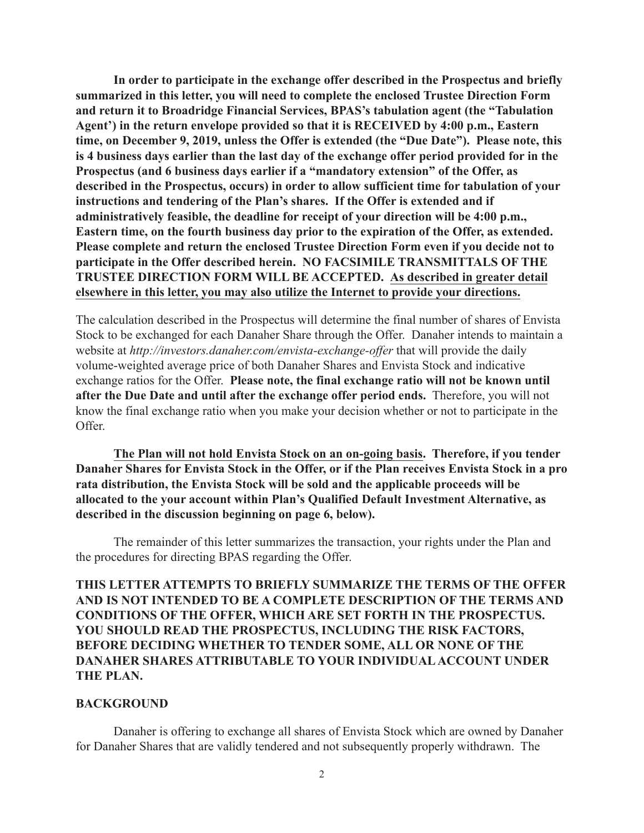**In order to participate in the exchange offer described in the Prospectus and briefly summarized in this letter, you will need to complete the enclosed Trustee Direction Form and return it to Broadridge Financial Services, BPAS's tabulation agent (the "Tabulation Agent') in the return envelope provided so that it is RECEIVED by 4:00 p.m., Eastern time, on December 9, 2019, unless the Offer is extended (the "Due Date"). Please note, this is 4 business days earlier than the last day of the exchange offer period provided for in the Prospectus (and 6 business days earlier if a "mandatory extension" of the Offer, as described in the Prospectus, occurs) in order to allow sufficient time for tabulation of your instructions and tendering of the Plan's shares. If the Offer is extended and if administratively feasible, the deadline for receipt of your direction will be 4:00 p.m., Eastern time, on the fourth business day prior to the expiration of the Offer, as extended. Please complete and return the enclosed Trustee Direction Form even if you decide not to participate in the Offer described herein. NO FACSIMILE TRANSMITTALS OF THE TRUSTEE DIRECTION FORM WILL BE ACCEPTED. As described in greater detail elsewhere in this letter, you may also utilize the Internet to provide your directions.** 

The calculation described in the Prospectus will determine the final number of shares of Envista Stock to be exchanged for each Danaher Share through the Offer. Danaher intends to maintain a website at *http://investors.danaher.com/envista-exchange-offer* that will provide the daily volume-weighted average price of both Danaher Shares and Envista Stock and indicative exchange ratios for the Offer. **Please note, the final exchange ratio will not be known until after the Due Date and until after the exchange offer period ends.** Therefore, you will not know the final exchange ratio when you make your decision whether or not to participate in the Offer.

**The Plan will not hold Envista Stock on an on-going basis. Therefore, if you tender Danaher Shares for Envista Stock in the Offer, or if the Plan receives Envista Stock in a pro rata distribution, the Envista Stock will be sold and the applicable proceeds will be allocated to the your account within Plan's Qualified Default Investment Alternative, as described in the discussion beginning on page 6, below).**

The remainder of this letter summarizes the transaction, your rights under the Plan and the procedures for directing BPAS regarding the Offer.

**THIS LETTER ATTEMPTS TO BRIEFLY SUMMARIZE THE TERMS OF THE OFFER AND IS NOT INTENDED TO BE A COMPLETE DESCRIPTION OF THE TERMS AND CONDITIONS OF THE OFFER, WHICH ARE SET FORTH IN THE PROSPECTUS. YOU SHOULD READ THE PROSPECTUS, INCLUDING THE RISK FACTORS, BEFORE DECIDING WHETHER TO TENDER SOME, ALL OR NONE OF THE DANAHER SHARES ATTRIBUTABLE TO YOUR INDIVIDUAL ACCOUNT UNDER THE PLAN.**

### **BACKGROUND**

Danaher is offering to exchange all shares of Envista Stock which are owned by Danaher for Danaher Shares that are validly tendered and not subsequently properly withdrawn. The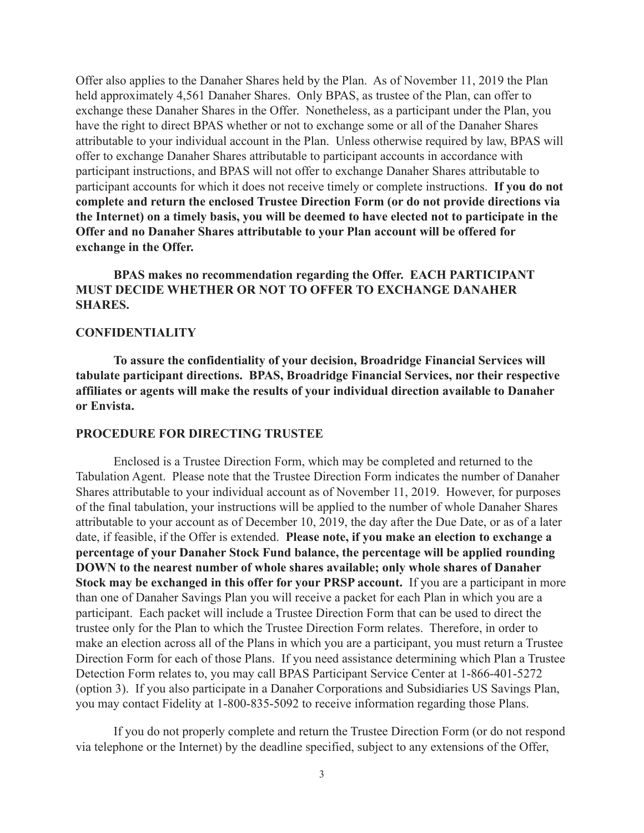Offer also applies to the Danaher Shares held by the Plan. As of November 11, 2019 the Plan held approximately 4,561 Danaher Shares. Only BPAS, as trustee of the Plan, can offer to exchange these Danaher Shares in the Offer. Nonetheless, as a participant under the Plan, you have the right to direct BPAS whether or not to exchange some or all of the Danaher Shares attributable to your individual account in the Plan. Unless otherwise required by law, BPAS will offer to exchange Danaher Shares attributable to participant accounts in accordance with participant instructions, and BPAS will not offer to exchange Danaher Shares attributable to participant accounts for which it does not receive timely or complete instructions. **If you do not complete and return the enclosed Trustee Direction Form (or do not provide directions via the Internet) on a timely basis, you will be deemed to have elected not to participate in the Offer and no Danaher Shares attributable to your Plan account will be offered for exchange in the Offer.**

# **BPAS makes no recommendation regarding the Offer. EACH PARTICIPANT MUST DECIDE WHETHER OR NOT TO OFFER TO EXCHANGE DANAHER SHARES.**

### **CONFIDENTIALITY**

**To assure the confidentiality of your decision, Broadridge Financial Services will tabulate participant directions. BPAS, Broadridge Financial Services, nor their respective affiliates or agents will make the results of your individual direction available to Danaher or Envista.**

#### **PROCEDURE FOR DIRECTING TRUSTEE**

Enclosed is a Trustee Direction Form, which may be completed and returned to the Tabulation Agent. Please note that the Trustee Direction Form indicates the number of Danaher Shares attributable to your individual account as of November 11, 2019. However, for purposes of the final tabulation, your instructions will be applied to the number of whole Danaher Shares attributable to your account as of December 10, 2019, the day after the Due Date, or as of a later date, if feasible, if the Offer is extended. **Please note, if you make an election to exchange a percentage of your Danaher Stock Fund balance, the percentage will be applied rounding DOWN to the nearest number of whole shares available; only whole shares of Danaher Stock may be exchanged in this offer for your PRSP account.** If you are a participant in more than one of Danaher Savings Plan you will receive a packet for each Plan in which you are a participant. Each packet will include a Trustee Direction Form that can be used to direct the trustee only for the Plan to which the Trustee Direction Form relates. Therefore, in order to make an election across all of the Plans in which you are a participant, you must return a Trustee Direction Form for each of those Plans. If you need assistance determining which Plan a Trustee Detection Form relates to, you may call BPAS Participant Service Center at 1-866-401-5272 (option 3). If you also participate in a Danaher Corporations and Subsidiaries US Savings Plan, you may contact Fidelity at 1-800-835-5092 to receive information regarding those Plans.

If you do not properly complete and return the Trustee Direction Form (or do not respond via telephone or the Internet) by the deadline specified, subject to any extensions of the Offer,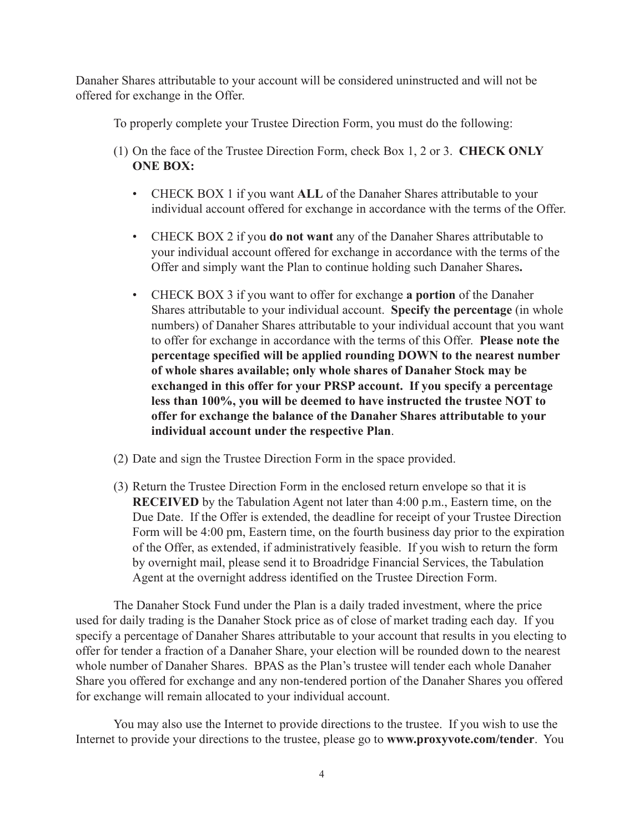Danaher Shares attributable to your account will be considered uninstructed and will not be offered for exchange in the Offer.

To properly complete your Trustee Direction Form, you must do the following:

- (1) On the face of the Trustee Direction Form, check Box 1, 2 or 3. **CHECK ONLY ONE BOX:**
	- CHECK BOX 1 if you want **ALL** of the Danaher Shares attributable to your individual account offered for exchange in accordance with the terms of the Offer.
	- CHECK BOX 2 if you **do not want** any of the Danaher Shares attributable to your individual account offered for exchange in accordance with the terms of the Offer and simply want the Plan to continue holding such Danaher Shares**.**
	- CHECK BOX 3 if you want to offer for exchange **a portion** of the Danaher Shares attributable to your individual account. **Specify the percentage** (in whole numbers) of Danaher Shares attributable to your individual account that you want to offer for exchange in accordance with the terms of this Offer. **Please note the percentage specified will be applied rounding DOWN to the nearest number of whole shares available; only whole shares of Danaher Stock may be exchanged in this offer for your PRSP account. If you specify a percentage less than 100%, you will be deemed to have instructed the trustee NOT to offer for exchange the balance of the Danaher Shares attributable to your individual account under the respective Plan**.
- (2) Date and sign the Trustee Direction Form in the space provided.
- (3) Return the Trustee Direction Form in the enclosed return envelope so that it is **RECEIVED** by the Tabulation Agent not later than 4:00 p.m., Eastern time, on the Due Date. If the Offer is extended, the deadline for receipt of your Trustee Direction Form will be 4:00 pm, Eastern time, on the fourth business day prior to the expiration of the Offer, as extended, if administratively feasible. If you wish to return the form by overnight mail, please send it to Broadridge Financial Services, the Tabulation Agent at the overnight address identified on the Trustee Direction Form.

The Danaher Stock Fund under the Plan is a daily traded investment, where the price used for daily trading is the Danaher Stock price as of close of market trading each day. If you specify a percentage of Danaher Shares attributable to your account that results in you electing to offer for tender a fraction of a Danaher Share, your election will be rounded down to the nearest whole number of Danaher Shares. BPAS as the Plan's trustee will tender each whole Danaher Share you offered for exchange and any non-tendered portion of the Danaher Shares you offered for exchange will remain allocated to your individual account.

You may also use the Internet to provide directions to the trustee. If you wish to use the Internet to provide your directions to the trustee, please go to **www.proxyvote.com/tender**. You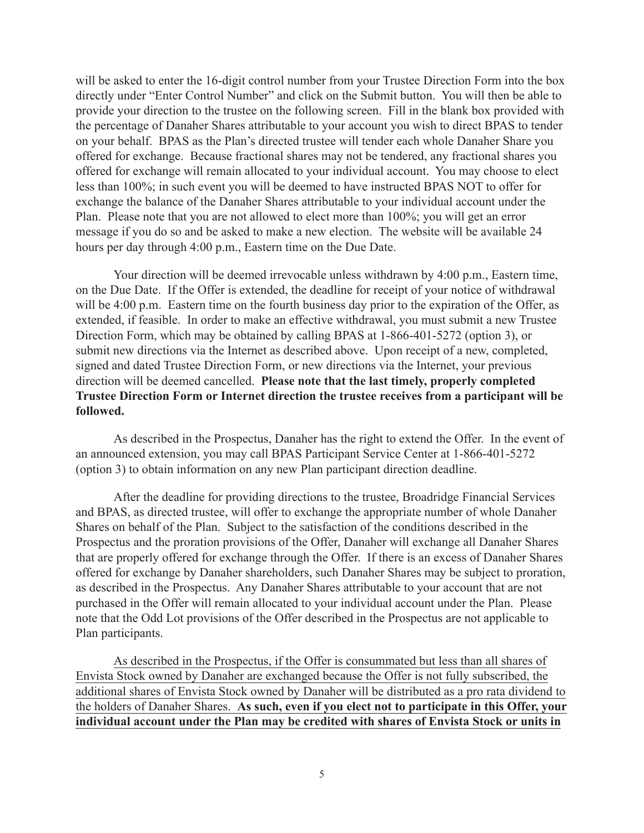will be asked to enter the 16-digit control number from your Trustee Direction Form into the box directly under "Enter Control Number" and click on the Submit button. You will then be able to provide your direction to the trustee on the following screen. Fill in the blank box provided with the percentage of Danaher Shares attributable to your account you wish to direct BPAS to tender on your behalf. BPAS as the Plan's directed trustee will tender each whole Danaher Share you offered for exchange. Because fractional shares may not be tendered, any fractional shares you offered for exchange will remain allocated to your individual account. You may choose to elect less than 100%; in such event you will be deemed to have instructed BPAS NOT to offer for exchange the balance of the Danaher Shares attributable to your individual account under the Plan. Please note that you are not allowed to elect more than 100%; you will get an error message if you do so and be asked to make a new election. The website will be available 24 hours per day through 4:00 p.m., Eastern time on the Due Date.

Your direction will be deemed irrevocable unless withdrawn by 4:00 p.m., Eastern time, on the Due Date. If the Offer is extended, the deadline for receipt of your notice of withdrawal will be 4:00 p.m. Eastern time on the fourth business day prior to the expiration of the Offer, as extended, if feasible. In order to make an effective withdrawal, you must submit a new Trustee Direction Form, which may be obtained by calling BPAS at 1-866-401-5272 (option 3), or submit new directions via the Internet as described above. Upon receipt of a new, completed, signed and dated Trustee Direction Form, or new directions via the Internet, your previous direction will be deemed cancelled. **Please note that the last timely, properly completed Trustee Direction Form or Internet direction the trustee receives from a participant will be followed.**

As described in the Prospectus, Danaher has the right to extend the Offer. In the event of an announced extension, you may call BPAS Participant Service Center at 1-866-401-5272 (option 3) to obtain information on any new Plan participant direction deadline.

After the deadline for providing directions to the trustee, Broadridge Financial Services and BPAS, as directed trustee, will offer to exchange the appropriate number of whole Danaher Shares on behalf of the Plan. Subject to the satisfaction of the conditions described in the Prospectus and the proration provisions of the Offer, Danaher will exchange all Danaher Shares that are properly offered for exchange through the Offer. If there is an excess of Danaher Shares offered for exchange by Danaher shareholders, such Danaher Shares may be subject to proration, as described in the Prospectus. Any Danaher Shares attributable to your account that are not purchased in the Offer will remain allocated to your individual account under the Plan. Please note that the Odd Lot provisions of the Offer described in the Prospectus are not applicable to Plan participants.

As described in the Prospectus, if the Offer is consummated but less than all shares of Envista Stock owned by Danaher are exchanged because the Offer is not fully subscribed, the additional shares of Envista Stock owned by Danaher will be distributed as a pro rata dividend to the holders of Danaher Shares. **As such, even if you elect not to participate in this Offer, your individual account under the Plan may be credited with shares of Envista Stock or units in**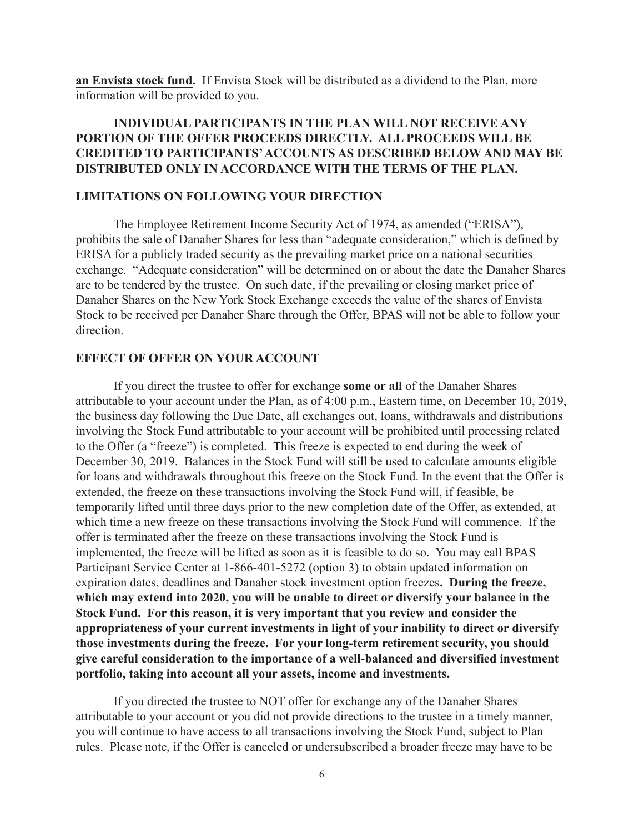**an Envista stock fund.** If Envista Stock will be distributed as a dividend to the Plan, more information will be provided to you.

# **INDIVIDUAL PARTICIPANTS IN THE PLAN WILL NOT RECEIVE ANY PORTION OF THE OFFER PROCEEDS DIRECTLY. ALL PROCEEDS WILL BE CREDITED TO PARTICIPANTS' ACCOUNTS AS DESCRIBED BELOW AND MAY BE DISTRIBUTED ONLY IN ACCORDANCE WITH THE TERMS OF THE PLAN.**

#### **LIMITATIONS ON FOLLOWING YOUR DIRECTION**

The Employee Retirement Income Security Act of 1974, as amended ("ERISA"), prohibits the sale of Danaher Shares for less than "adequate consideration," which is defined by ERISA for a publicly traded security as the prevailing market price on a national securities exchange. "Adequate consideration" will be determined on or about the date the Danaher Shares are to be tendered by the trustee. On such date, if the prevailing or closing market price of Danaher Shares on the New York Stock Exchange exceeds the value of the shares of Envista Stock to be received per Danaher Share through the Offer, BPAS will not be able to follow your direction.

### **EFFECT OF OFFER ON YOUR ACCOUNT**

If you direct the trustee to offer for exchange **some or all** of the Danaher Shares attributable to your account under the Plan, as of 4:00 p.m., Eastern time, on December 10, 2019, the business day following the Due Date, all exchanges out, loans, withdrawals and distributions involving the Stock Fund attributable to your account will be prohibited until processing related to the Offer (a "freeze") is completed. This freeze is expected to end during the week of December 30, 2019. Balances in the Stock Fund will still be used to calculate amounts eligible for loans and withdrawals throughout this freeze on the Stock Fund. In the event that the Offer is extended, the freeze on these transactions involving the Stock Fund will, if feasible, be temporarily lifted until three days prior to the new completion date of the Offer, as extended, at which time a new freeze on these transactions involving the Stock Fund will commence. If the offer is terminated after the freeze on these transactions involving the Stock Fund is implemented, the freeze will be lifted as soon as it is feasible to do so. You may call BPAS Participant Service Center at 1-866-401-5272 (option 3) to obtain updated information on expiration dates, deadlines and Danaher stock investment option freezes**. During the freeze, which may extend into 2020, you will be unable to direct or diversify your balance in the Stock Fund. For this reason, it is very important that you review and consider the appropriateness of your current investments in light of your inability to direct or diversify those investments during the freeze. For your long-term retirement security, you should give careful consideration to the importance of a well-balanced and diversified investment portfolio, taking into account all your assets, income and investments.**

If you directed the trustee to NOT offer for exchange any of the Danaher Shares attributable to your account or you did not provide directions to the trustee in a timely manner, you will continue to have access to all transactions involving the Stock Fund, subject to Plan rules. Please note, if the Offer is canceled or undersubscribed a broader freeze may have to be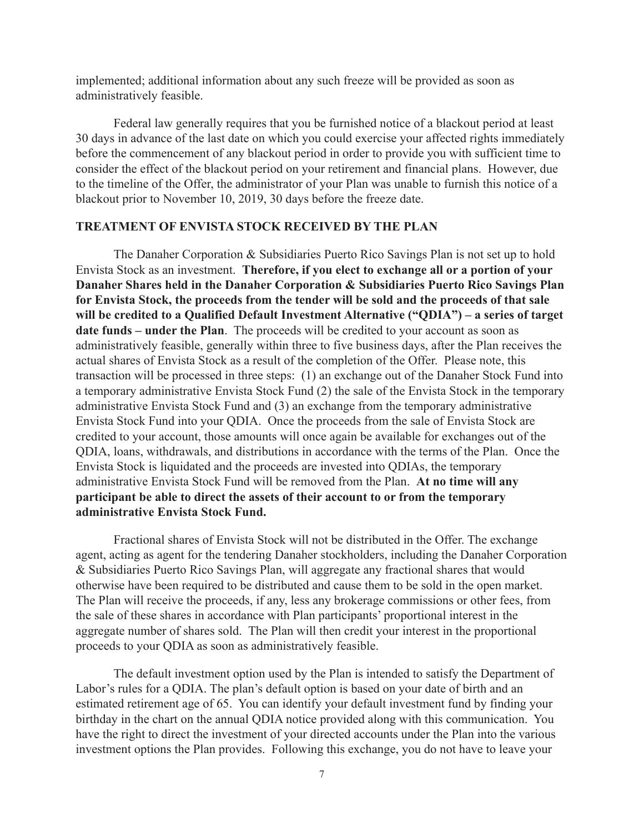implemented; additional information about any such freeze will be provided as soon as administratively feasible.

Federal law generally requires that you be furnished notice of a blackout period at least 30 days in advance of the last date on which you could exercise your affected rights immediately before the commencement of any blackout period in order to provide you with sufficient time to consider the effect of the blackout period on your retirement and financial plans. However, due to the timeline of the Offer, the administrator of your Plan was unable to furnish this notice of a blackout prior to November 10, 2019, 30 days before the freeze date.

## **TREATMENT OF ENVISTA STOCK RECEIVED BY THE PLAN**

The Danaher Corporation & Subsidiaries Puerto Rico Savings Plan is not set up to hold Envista Stock as an investment. **Therefore, if you elect to exchange all or a portion of your Danaher Shares held in the Danaher Corporation & Subsidiaries Puerto Rico Savings Plan for Envista Stock, the proceeds from the tender will be sold and the proceeds of that sale will be credited to a Qualified Default Investment Alternative ("QDIA") – a series of target date funds – under the Plan**. The proceeds will be credited to your account as soon as administratively feasible, generally within three to five business days, after the Plan receives the actual shares of Envista Stock as a result of the completion of the Offer. Please note, this transaction will be processed in three steps: (1) an exchange out of the Danaher Stock Fund into a temporary administrative Envista Stock Fund (2) the sale of the Envista Stock in the temporary administrative Envista Stock Fund and (3) an exchange from the temporary administrative Envista Stock Fund into your QDIA. Once the proceeds from the sale of Envista Stock are credited to your account, those amounts will once again be available for exchanges out of the QDIA, loans, withdrawals, and distributions in accordance with the terms of the Plan. Once the Envista Stock is liquidated and the proceeds are invested into QDIAs, the temporary administrative Envista Stock Fund will be removed from the Plan. **At no time will any participant be able to direct the assets of their account to or from the temporary administrative Envista Stock Fund.**

Fractional shares of Envista Stock will not be distributed in the Offer. The exchange agent, acting as agent for the tendering Danaher stockholders, including the Danaher Corporation & Subsidiaries Puerto Rico Savings Plan, will aggregate any fractional shares that would otherwise have been required to be distributed and cause them to be sold in the open market. The Plan will receive the proceeds, if any, less any brokerage commissions or other fees, from the sale of these shares in accordance with Plan participants' proportional interest in the aggregate number of shares sold. The Plan will then credit your interest in the proportional proceeds to your QDIA as soon as administratively feasible.

The default investment option used by the Plan is intended to satisfy the Department of Labor's rules for a QDIA. The plan's default option is based on your date of birth and an estimated retirement age of 65. You can identify your default investment fund by finding your birthday in the chart on the annual QDIA notice provided along with this communication. You have the right to direct the investment of your directed accounts under the Plan into the various investment options the Plan provides. Following this exchange, you do not have to leave your